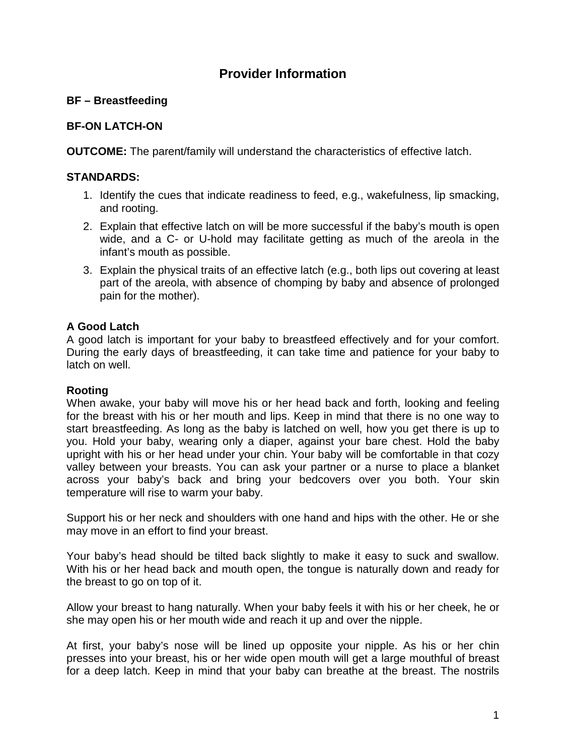# **Provider Information**

# **BF – Breastfeeding**

# **BF-ON LATCH-ON**

**OUTCOME:** The parent/family will understand the characteristics of effective latch.

### **STANDARDS:**

- 1. Identify the cues that indicate readiness to feed, e.g., wakefulness, lip smacking, and rooting.
- 2. Explain that effective latch on will be more successful if the baby's mouth is open wide, and a C- or U-hold may facilitate getting as much of the areola in the infant's mouth as possible.
- 3. Explain the physical traits of an effective latch (e.g., both lips out covering at least part of the areola, with absence of chomping by baby and absence of prolonged pain for the mother).

## **A Good Latch**

A good latch is important for your baby to breastfeed effectively and for your comfort. During the early days of breastfeeding, it can take time and patience for your baby to latch on well.

#### **Rooting**

When awake, your baby will move his or her head back and forth, looking and feeling for the breast with his or her mouth and lips. Keep in mind that there is no one way to start breastfeeding. As long as the baby is latched on well, how you get there is up to you. Hold your baby, wearing only a diaper, against your bare chest. Hold the baby upright with his or her head under your chin. Your baby will be comfortable in that cozy valley between your breasts. You can ask your partner or a nurse to place a blanket across your baby's back and bring your bedcovers over you both. Your skin temperature will rise to warm your baby.

Support his or her neck and shoulders with one hand and hips with the other. He or she may move in an effort to find your breast.

Your baby's head should be tilted back slightly to make it easy to suck and swallow. With his or her head back and mouth open, the tongue is naturally down and ready for the breast to go on top of it.

Allow your breast to hang naturally. When your baby feels it with his or her cheek, he or she may open his or her mouth wide and reach it up and over the nipple.

At first, your baby's nose will be lined up opposite your nipple. As his or her chin presses into your breast, his or her wide open mouth will get a large mouthful of breast for a deep latch. Keep in mind that your baby can breathe at the breast. The nostrils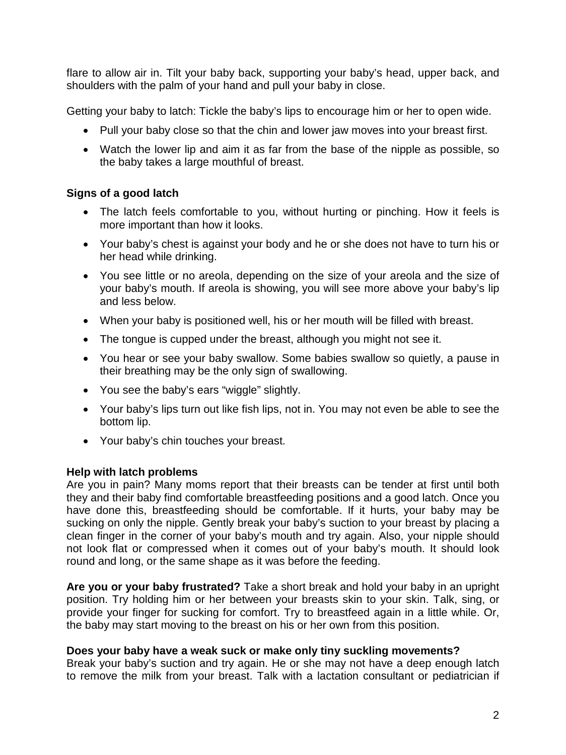flare to allow air in. Tilt your baby back, supporting your baby's head, upper back, and shoulders with the palm of your hand and pull your baby in close.

Getting your baby to latch: Tickle the baby's lips to encourage him or her to open wide.

- Pull your baby close so that the chin and lower jaw moves into your breast first.
- Watch the lower lip and aim it as far from the base of the nipple as possible, so the baby takes a large mouthful of breast.

#### **Signs of a good latch**

- The latch feels comfortable to you, without hurting or pinching. How it feels is more important than how it looks.
- Your baby's chest is against your body and he or she does not have to turn his or her head while drinking.
- You see little or no areola, depending on the size of your areola and the size of your baby's mouth. If areola is showing, you will see more above your baby's lip and less below.
- When your baby is positioned well, his or her mouth will be filled with breast.
- The tongue is cupped under the breast, although you might not see it.
- You hear or see your baby swallow. Some babies swallow so quietly, a pause in their breathing may be the only sign of swallowing.
- You see the baby's ears "wiggle" slightly.
- Your baby's lips turn out like fish lips, not in. You may not even be able to see the bottom lip.
- Your baby's chin touches your breast.

#### **Help with latch problems**

Are you in pain? Many moms report that their breasts can be tender at first until both they and their baby find comfortable breastfeeding positions and a good latch. Once you have done this, breastfeeding should be comfortable. If it hurts, your baby may be sucking on only the nipple. Gently break your baby's suction to your breast by placing a clean finger in the corner of your baby's mouth and try again. Also, your nipple should not look flat or compressed when it comes out of your baby's mouth. It should look round and long, or the same shape as it was before the feeding.

**Are you or your baby frustrated?** Take a short break and hold your baby in an upright position. Try holding him or her between your breasts skin to your skin. Talk, sing, or provide your finger for sucking for comfort. Try to breastfeed again in a little while. Or, the baby may start moving to the breast on his or her own from this position.

#### **Does your baby have a weak suck or make only tiny suckling movements?**

Break your baby's suction and try again. He or she may not have a deep enough latch to remove the milk from your breast. Talk with a lactation consultant or pediatrician if